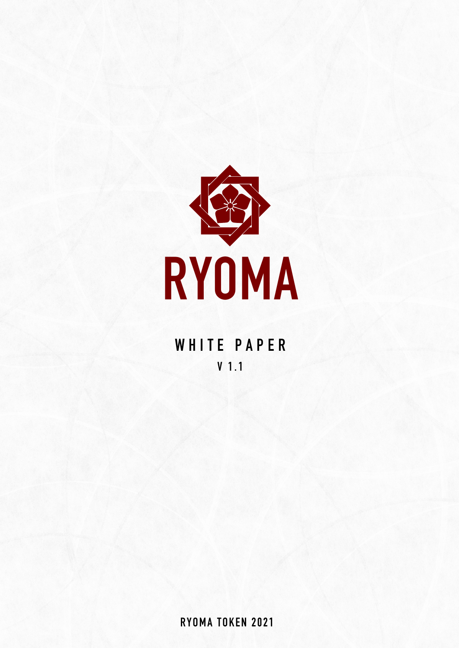

# **WHITE PAPER V 1.1**

**RYOMA TOKEN 2021**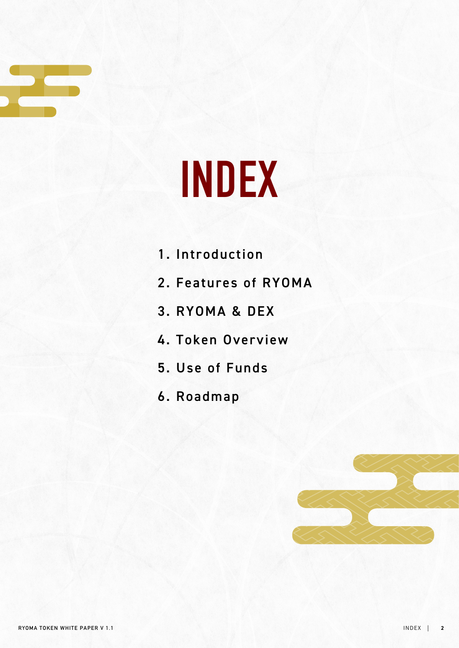

# **INDEX**

- 1. Introduction
- 2. Features of RYOMA
- 3. RYOMA & DEX
- 4. Token Overview
- 5. Use of Funds
- 6. Roadmap

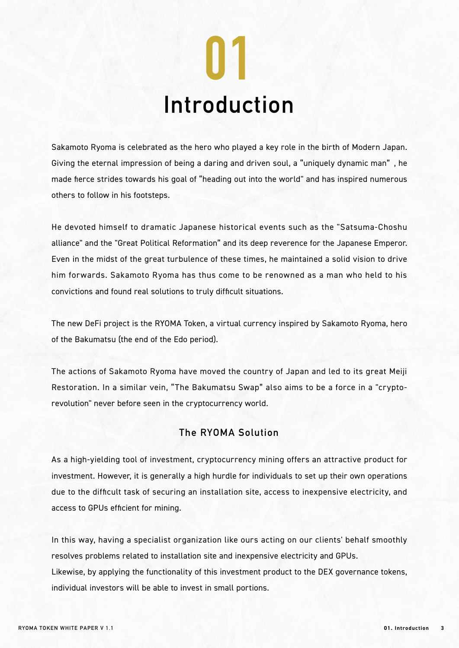

Sakamoto Ryoma is celebrated as the hero who played a key role in the birth of Modern Japan. Giving the eternal impression of being a daring and driven soul, a "uniquely dynamic man" , he made fierce strides towards his goal of "heading out into the world" and has inspired numerous others to follow in his footsteps.

He devoted himself to dramatic Japanese historical events such as the "Satsuma-Choshu alliance" and the "Great Political Reformation" and its deep reverence for the Japanese Emperor. Even in the midst of the great turbulence of these times, he maintained a solid vision to drive him forwards. Sakamoto Ryoma has thus come to be renowned as a man who held to his convictions and found real solutions to truly difficult situations.

The new DeFi project is the RYOMA Token, a virtual currency inspired by Sakamoto Ryoma, hero of the Bakumatsu (the end of the Edo period).

The actions of Sakamoto Ryoma have moved the country of Japan and led to its great Meiji Restoration. In a similar vein, "The Bakumatsu Swap" also aims to be a force in a "cryptorevolution" never before seen in the cryptocurrency world.

#### **The RYOMA Solution**

As a high-yielding tool of investment, cryptocurrency mining offers an attractive product for investment. However, it is generally a high hurdle for individuals to set up their own operations due to the difficult task of securing an installation site, access to inexpensive electricity, and access to GPUs efficient for mining.

In this way, having a specialist organization like ours acting on our clients' behalf smoothly resolves problems related to installation site and inexpensive electricity and GPUs. Likewise, by applying the functionality of this investment product to the DEX governance tokens, individual investors will be able to invest in small portions.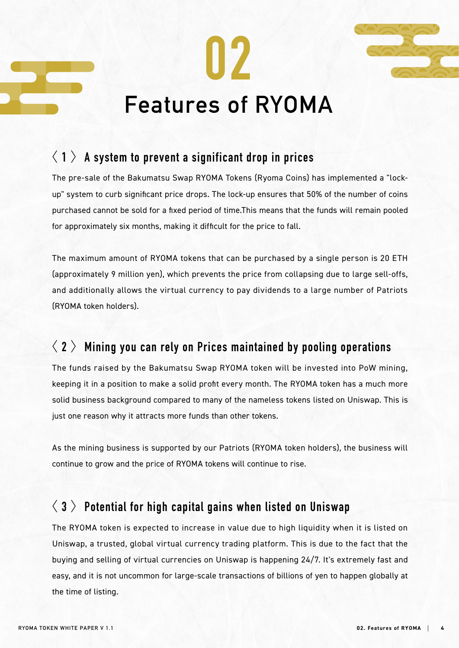



# **Features of RYOMA**

**02**

# 〈 **1** 〉**A system to prevent a significant drop in prices**

The pre-sale of the Bakumatsu Swap RYOMA Tokens (Ryoma Coins) has implemented a "lockup" system to curb significant price drops. The lock-up ensures that 50% of the number of coins purchased cannot be sold for a fixed period of time.This means that the funds will remain pooled for approximately six months, making it difficult for the price to fall.

The maximum amount of RYOMA tokens that can be purchased by a single person is 20 ETH (approximately 9 million yen), which prevents the price from collapsing due to large sell-offs, and additionally allows the virtual currency to pay dividends to a large number of Patriots (RYOMA token holders).

# 〈 **2** 〉**Mining you can rely on Prices maintained by pooling operations**

The funds raised by the Bakumatsu Swap RYOMA token will be invested into PoW mining, keeping it in a position to make a solid profit every month. The RYOMA token has a much more solid business background compared to many of the nameless tokens listed on Uniswap. This is just one reason why it attracts more funds than other tokens.

As the mining business is supported by our Patriots (RYOMA token holders), the business will continue to grow and the price of RYOMA tokens will continue to rise.

# 〈 **3** 〉**Potential for high capital gains when listed on Uniswap**

The RYOMA token is expected to increase in value due to high liquidity when it is listed on Uniswap, a trusted, global virtual currency trading platform. This is due to the fact that the buying and selling of virtual currencies on Uniswap is happening 24/7. It's extremely fast and easy, and it is not uncommon for large-scale transactions of billions of yen to happen globally at the time of listing.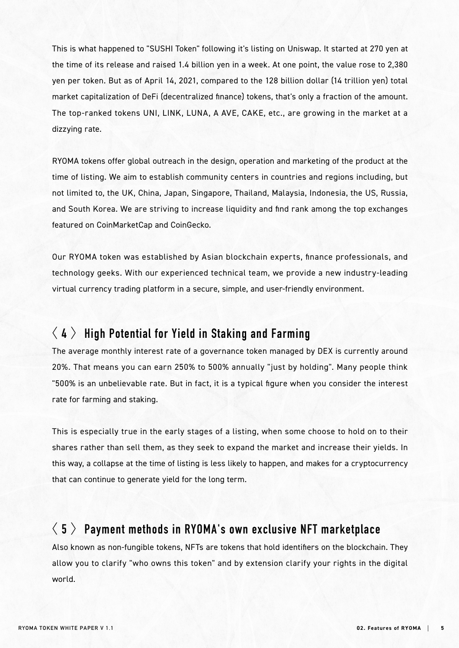This is what happened to "SUSHI Token" following it's listing on Uniswap. It started at 270 yen at the time of its release and raised 1.4 billion yen in a week. At one point, the value rose to 2,380 yen per token. But as of April 14, 2021, compared to the 128 billion dollar (14 trillion yen) total market capitalization of DeFi (decentralized finance) tokens, that's only a fraction of the amount. The top-ranked tokens UNI, LINK, LUNA, A AVE, CAKE, etc., are growing in the market at a dizzying rate.

RYOMA tokens offer global outreach in the design, operation and marketing of the product at the time of listing. We aim to establish community centers in countries and regions including, but not limited to, the UK, China, Japan, Singapore, Thailand, Malaysia, Indonesia, the US, Russia, and South Korea. We are striving to increase liquidity and find rank among the top exchanges featured on CoinMarketCap and CoinGecko.

Our RYOMA token was established by Asian blockchain experts, finance professionals, and technology geeks. With our experienced technical team, we provide a new industry-leading virtual currency trading platform in a secure, simple, and user-friendly environment.

# 〈 **4** 〉**High Potential for Yield in Staking and Farming**

The average monthly interest rate of a governance token managed by DEX is currently around 20%. That means you can earn 250% to 500% annually "just by holding". Many people think "500% is an unbelievable rate. But in fact, it is a typical figure when you consider the interest rate for farming and staking.

This is especially true in the early stages of a listing, when some choose to hold on to their shares rather than sell them, as they seek to expand the market and increase their yields. In this way, a collapse at the time of listing is less likely to happen, and makes for a cryptocurrency that can continue to generate yield for the long term.

# 〈 **5** 〉**Payment methods in RYOMA's own exclusive NFT marketplace**

Also known as non-fungible tokens, NFTs are tokens that hold identifiers on the blockchain. They allow you to clarify "who owns this token" and by extension clarify your rights in the digital world.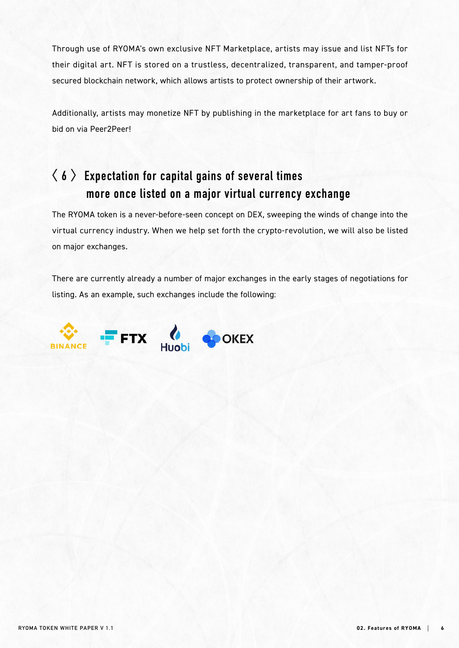Through use of RYOMA's own exclusive NFT Marketplace, artists may issue and list NFTs for their digital art. NFT is stored on a trustless, decentralized, transparent, and tamper-proof secured blockchain network, which allows artists to protect ownership of their artwork.

Additionally, artists may monetize NFT by publishing in the marketplace for art fans to buy or bid on via Peer2Peer!

# **〈 6 〉Expectation for capital gains of several times more once listed on a major virtual currency exchange**

The RYOMA token is a never-before-seen concept on DEX, sweeping the winds of change into the virtual currency industry. When we help set forth the crypto-revolution, we will also be listed on major exchanges.

There are currently already a number of major exchanges in the early stages of negotiations for listing. As an example, such exchanges include the following:

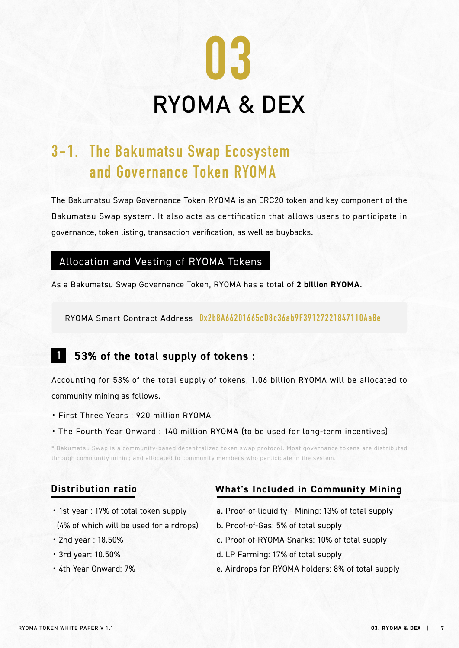

# **3-1. The Bakumatsu Swap Ecosystem and Governance Token RYOMA**

The Bakumatsu Swap Governance Token RYOMA is an ERC20 token and key component of the Bakumatsu Swap system. It also acts as certification that allows users to participate in governance, token listing, transaction verification, as well as buybacks.

#### Allocation and Vesting of RYOMA Tokens

As a Bakumatsu Swap Governance Token, RYOMA has a total of **2 billion RYOMA**.

RYOMA Smart Contract Address **0x2b8A66201665cD8c36ab9F39127221847110Aa8e**

#### **1 53% of the total supply of tokens :**

Accounting for 53% of the total supply of tokens, 1.06 billion RYOMA will be allocated to community mining as follows.

- ・ First Three Years : 920 million RYOMA
- ・ The Fourth Year Onward : 140 million RYOMA (to be used for long-term incentives)

\* Bakumatsu Swap is a community-based decentralized token swap protocol. Most governance tokens are distributed through community mining and allocated to community members who participate in the system.

#### **Distribution ratio**

## **What's Included in Community Mining**

- ・1st year : 17% of total token supply (4% of which will be used for airdrops)
- ・2nd year : 18.50%
- ・3rd year: 10.50%
- ・4th Year Onward: 7%
- a. Proof-of-liquidity Mining: 13% of total supply
- b. Proof-of-Gas: 5% of total supply
- c. Proof-of-RYOMA-Snarks: 10% of total supply
- d. LP Farming: 17% of total supply
- e. Airdrops for RYOMA holders: 8% of total supply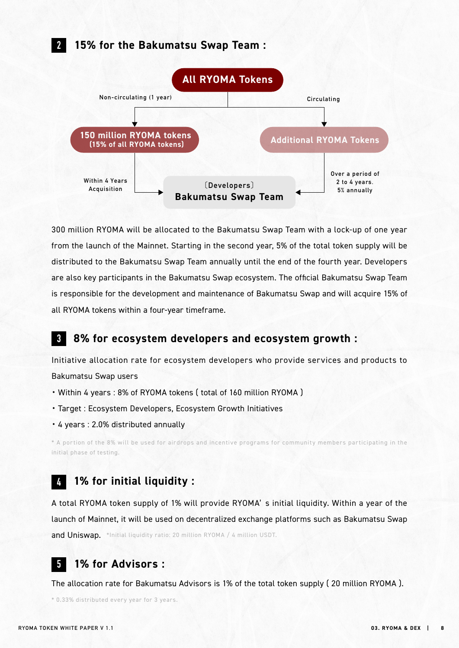## **15% for the Bakumatsu Swap Team :**

**2**



300 million RYOMA will be allocated to the Bakumatsu Swap Team with a lock-up of one year from the launch of the Mainnet. Starting in the second year, 5% of the total token supply will be distributed to the Bakumatsu Swap Team annually until the end of the fourth year. Developers are also key participants in the Bakumatsu Swap ecosystem. The official Bakumatsu Swap Team is responsible for the development and maintenance of Bakumatsu Swap and will acquire 15% of all RYOMA tokens within a four-year timeframe.

#### **8% for ecosystem developers and ecosystem growth : 3**

Initiative allocation rate for ecosystem developers who provide services and products to Bakumatsu Swap users

- ・Within 4 years : 8% of RYOMA tokens ( total of 160 million RYOMA )
- ・Target : Ecosystem Developers, Ecosystem Growth Initiatives
- ・4 years : 2.0% distributed annually

\* A portion of the 8% will be used for airdrops and incentive programs for community members participating in the initial phase of testing.

#### **1% for initial liquidity : 4**

A total RYOMA token supply of 1% will provide RYOMA' s initial liquidity. Within a year of the launch of Mainnet, it will be used on decentralized exchange platforms such as Bakumatsu Swap and Uniswap. \*Initial liquidity ratio: 20 million RYOMA / 4 million USDT.

#### **1% for Advisors : 5**

The allocation rate for Bakumatsu Advisors is 1% of the total token supply ( 20 million RYOMA ).

\* 0.33% distributed every year for 3 years.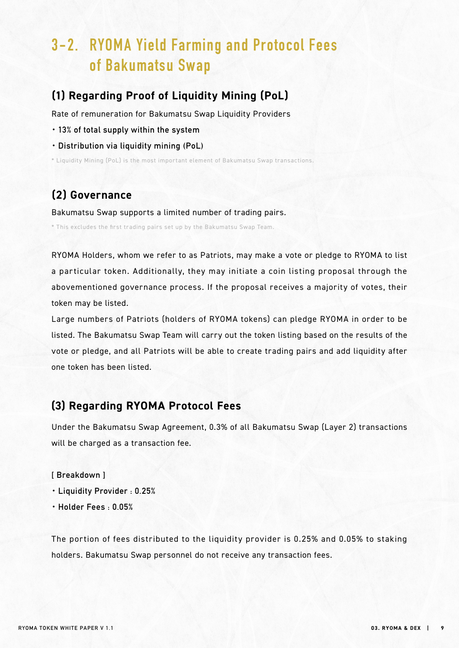# **3-2. RYOMA Yield Farming and Protocol Fees of Bakumatsu Swap**

### **(1) Regarding Proof of Liquidity Mining (PoL)**

Rate of remuneration for Bakumatsu Swap Liquidity Providers

- ・**13% of total supply within the system**
- ・**Distribution via liquidity mining (PoL)**

\* Liquidity Mining (PoL) is the most important element of Bakumatsu Swap transactions.

## **(2) Governance**

Bakumatsu Swap supports a limited number of trading pairs.

\* This excludes the first trading pairs set up by the Bakumatsu Swap Team.

RYOMA Holders, whom we refer to as Patriots, may make a vote or pledge to RYOMA to list a particular token. Additionally, they may initiate a coin listing proposal through the abovementioned governance process. If the proposal receives a majority of votes, their token may be listed.

Large numbers of Patriots (holders of RYOMA tokens) can pledge RYOMA in order to be listed. The Bakumatsu Swap Team will carry out the token listing based on the results of the vote or pledge, and all Patriots will be able to create trading pairs and add liquidity after one token has been listed.

### **(3) Regarding RYOMA Protocol Fees**

Under the Bakumatsu Swap Agreement, 0.3% of all Bakumatsu Swap (Layer 2) transactions will be charged as a transaction fee.

#### **[ Breakdown ]**

- ・**Liquidity Provider : 0.25%**
- ・**Holder Fees : 0.05%**

The portion of fees distributed to the liquidity provider is 0.25% and 0.05% to staking holders. Bakumatsu Swap personnel do not receive any transaction fees.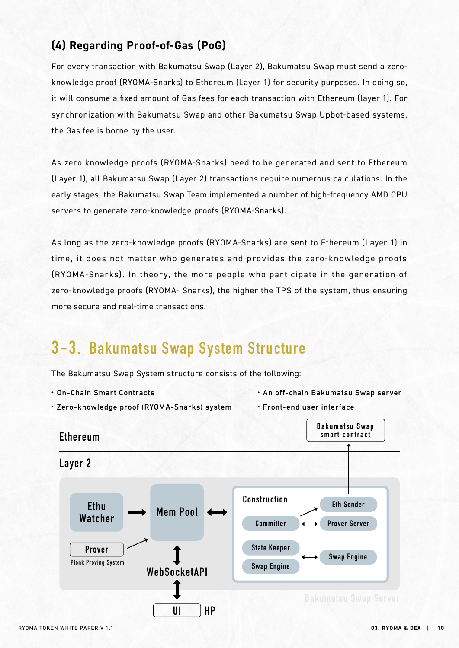## **(4) Regarding Proof-of-Gas (PoG)**

For every transaction with Bakumatsu Swap (Layer 2), Bakumatsu Swap must send a zeroknowledge proof (RYOMA-Snarks) to Ethereum (Layer 1) for security purposes. In doing so, it will consume a fixed amount of Gas fees for each transaction with Ethereum (layer 1). For synchronization with Bakumatsu Swap and other Bakumatsu Swap Upbot-based systems, the Gas fee is borne by the user.

As zero knowledge proofs (RYOMA-Snarks) need to be generated and sent to Ethereum (Layer 1), all Bakumatsu Swap (Layer 2) transactions require numerous calculations. In the early stages, the Bakumatsu Swap Team implemented a number of high-frequency AMD CPU servers to generate zero-knowledge proofs (RYOMA-Snarks).

As long as the zero-knowledge proofs (RYOMA-Snarks) are sent to Ethereum (Layer 1) in time, it does not matter who generates and provides the zero-knowledge proofs (RYOMA-Snarks). In theory, the more people who participate in the generation of zero-knowledge proofs (RYOMA- Snarks), the higher the TPS of the system, thus ensuring more secure and real-time transactions.

# **3-3. Bakumatsu Swap System Structure**

The Bakumatsu Swap System structure consists of the following:

・**On-Chain Smart Contracts**

- ・**An off-chain Bakumatsu Swap server**
- ・**Zero-knowledge proof (RYOMA-Snarks) system**
- ・**Front-end user interface**

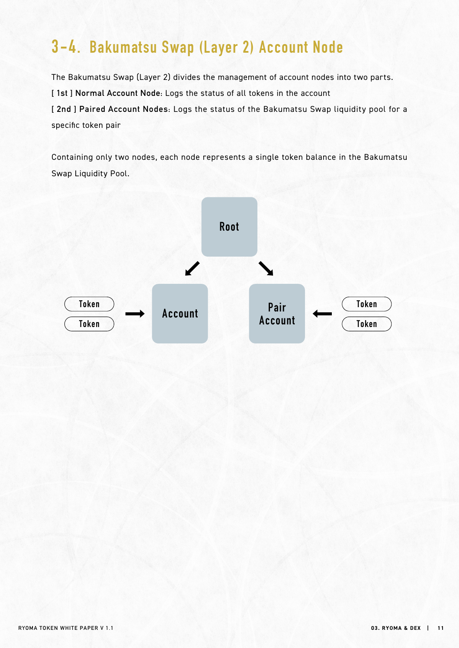# **3-4. Bakumatsu Swap (Layer 2) Account Node**

The Bakumatsu Swap (Layer 2) divides the management of account nodes into two parts. **[ 1st ] Normal Account Node:** Logs the status of all tokens in the account **[ 2nd ] Paired Account Nodes:** Logs the status of the Bakumatsu Swap liquidity pool for a specific token pair

Containing only two nodes, each node represents a single token balance in the Bakumatsu Swap Liquidity Pool.

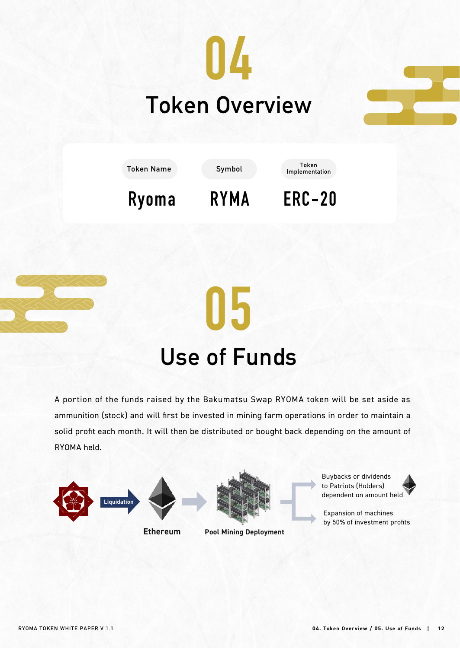





# **05 Use of Funds**

A portion of the funds raised by the Bakumatsu Swap RYOMA token will be set aside as ammunition (stock) and will first be invested in mining farm operations in order to maintain a solid profit each month. It will then be distributed or bought back depending on the amount of RYOMA held.



**Ethereum**



**Pool Mining Deployment**

Buybacks or dividends to Patriots (Holders) dependent on amount held



Expansion of machines by 50% of investment profits

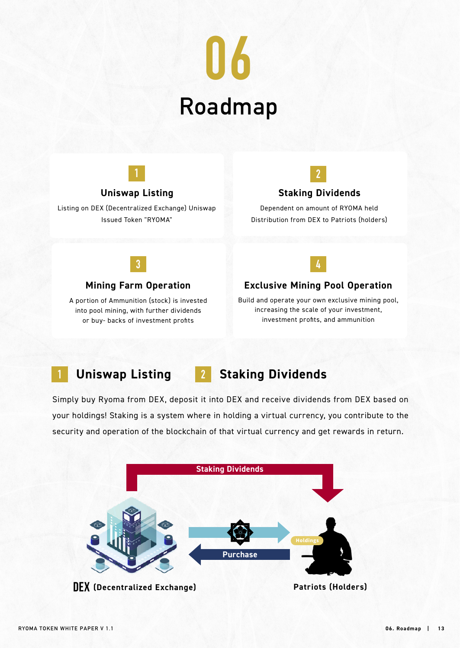



### **Uniswap Listing**

Listing on DEX (Decentralized Exchange) Uniswap Issued Token "RYOMA"



## **Staking Dividends**

Dependent on amount of RYOMA held Distribution from DEX to Patriots (holders)



#### **Mining Farm Operation**

A portion of Ammunition (stock) is invested into pool mining, with further dividends or buy- backs of investment profits



#### **Exclusive Mining Pool Operation**

Build and operate your own exclusive mining pool, increasing the scale of your investment, investment profits, and ammunition

# **1 Uniswap Listing 2 Staking Dividends**

Simply buy Ryoma from DEX, deposit it into DEX and receive dividends from DEX based on your holdings! Staking is a system where in holding a virtual currency, you contribute to the security and operation of the blockchain of that virtual currency and get rewards in return.

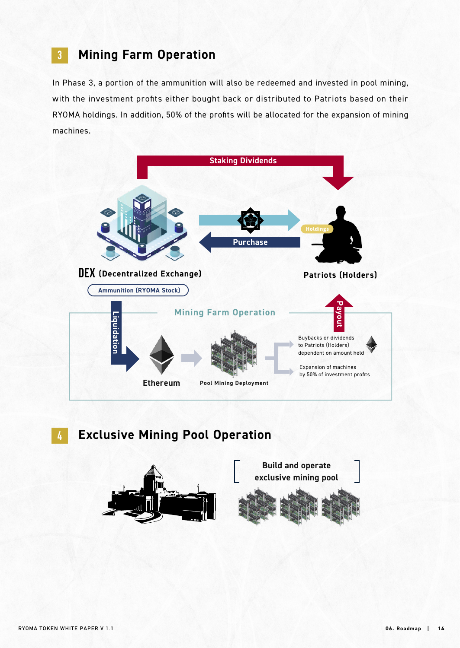# **3 Mining Farm Operation**

In Phase 3, a portion of the ammunition will also be redeemed and invested in pool mining, with the investment profits either bought back or distributed to Patriots based on their RYOMA holdings. In addition, 50% of the profits will be allocated for the expansion of mining machines.